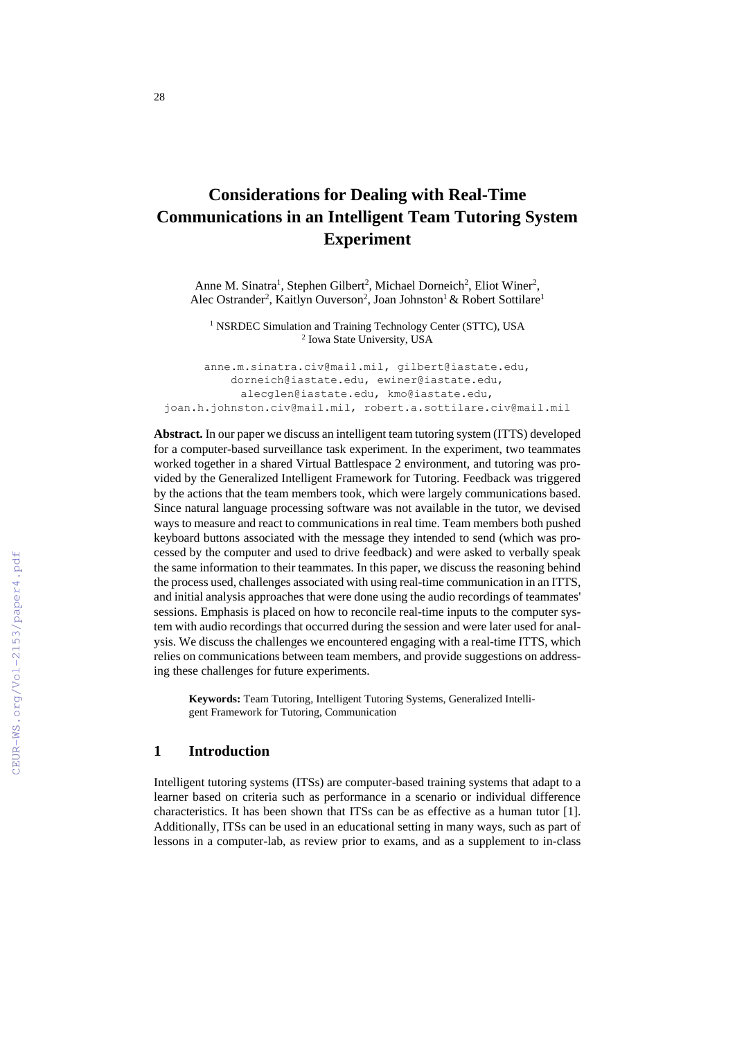# **Considerations for Dealing with Real-Time Communications in an Intelligent Team Tutoring System Experiment**

Anne M. Sinatra<sup>1</sup>, Stephen Gilbert<sup>2</sup>, Michael Dorneich<sup>2</sup>, Eliot Winer<sup>2</sup>, Alec Ostrander<sup>2</sup>, Kaitlyn Ouverson<sup>2</sup>, Joan Johnston<sup>1</sup> & Robert Sottilare<sup>1</sup>

<sup>1</sup> NSRDEC Simulation and Training Technology Center (STTC), USA 2 Iowa State University, USA

[anne.m.sinatra.civ@mail.mil,](mailto:anne.m.sinatra.civ@mail.mil) [gilbert@iastate.edu,](mailto:gilbert@iastate.edu) [dorneich@iastate.edu,](mailto:dorneich@iastate.edu) [ewiner@iastate.edu,](mailto:ewiner@iastate.edu) [alecglen@iastate.edu,](mailto:alecglen@iastate.edu) [kmo@iastate.edu,](mailto:kmo@iastate.edu) [joan.h.johnston.civ@mail.mil,](mailto:joan.h.johnston.civ@mail.mil) robert.a.sottilare.civ@mail.mil

**Abstract.** In our paper we discuss an intelligent team tutoring system (ITTS) developed for a computer-based surveillance task experiment. In the experiment, two teammates worked together in a shared Virtual Battlespace 2 environment, and tutoring was provided by the Generalized Intelligent Framework for Tutoring. Feedback was triggered by the actions that the team members took, which were largely communications based. Since natural language processing software was not available in the tutor, we devised ways to measure and react to communications in real time. Team members both pushed keyboard buttons associated with the message they intended to send (which was processed by the computer and used to drive feedback) and were asked to verbally speak the same information to their teammates. In this paper, we discuss the reasoning behind the process used, challenges associated with using real-time communication in an ITTS, and initial analysis approaches that were done using the audio recordings of teammates' sessions. Emphasis is placed on how to reconcile real-time inputs to the computer system with audio recordings that occurred during the session and were later used for analysis. We discuss the challenges we encountered engaging with a real-time ITTS, which relies on communications between team members, and provide suggestions on addressing these challenges for future experiments.

**Keywords:** Team Tutoring, Intelligent Tutoring Systems, Generalized Intelligent Framework for Tutoring, Communication

### **1 Introduction**

Intelligent tutoring systems (ITSs) are computer-based training systems that adapt to a learner based on criteria such as performance in a scenario or individual difference characteristics. It has been shown that ITSs can be as effective as a human tutor [1]. Additionally, ITSs can be used in an educational setting in many ways, such as part of lessons in a computer-lab, as review prior to exams, and as a supplement to in-class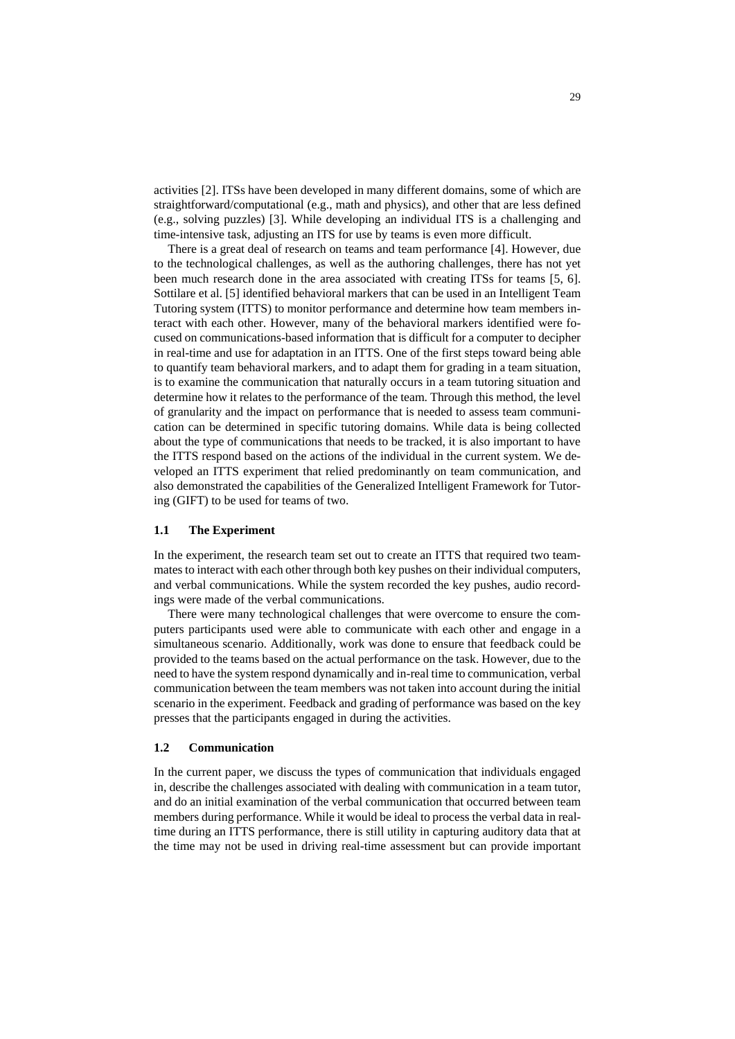activities [2]. ITSs have been developed in many different domains, some of which are straightforward/computational (e.g., math and physics), and other that are less defined (e.g., solving puzzles) [3]. While developing an individual ITS is a challenging and time-intensive task, adjusting an ITS for use by teams is even more difficult.

There is a great deal of research on teams and team performance [4]. However, due to the technological challenges, as well as the authoring challenges, there has not yet been much research done in the area associated with creating ITSs for teams [5, 6]. Sottilare et al. [5] identified behavioral markers that can be used in an Intelligent Team Tutoring system (ITTS) to monitor performance and determine how team members interact with each other. However, many of the behavioral markers identified were focused on communications-based information that is difficult for a computer to decipher in real-time and use for adaptation in an ITTS. One of the first steps toward being able to quantify team behavioral markers, and to adapt them for grading in a team situation, is to examine the communication that naturally occurs in a team tutoring situation and determine how it relates to the performance of the team. Through this method, the level of granularity and the impact on performance that is needed to assess team communication can be determined in specific tutoring domains. While data is being collected about the type of communications that needs to be tracked, it is also important to have the ITTS respond based on the actions of the individual in the current system. We developed an ITTS experiment that relied predominantly on team communication, and also demonstrated the capabilities of the Generalized Intelligent Framework for Tutoring (GIFT) to be used for teams of two.

#### **1.1 The Experiment**

In the experiment, the research team set out to create an ITTS that required two teammates to interact with each other through both key pushes on their individual computers, and verbal communications. While the system recorded the key pushes, audio recordings were made of the verbal communications.

There were many technological challenges that were overcome to ensure the computers participants used were able to communicate with each other and engage in a simultaneous scenario. Additionally, work was done to ensure that feedback could be provided to the teams based on the actual performance on the task. However, due to the need to have the system respond dynamically and in-real time to communication, verbal communication between the team members was not taken into account during the initial scenario in the experiment. Feedback and grading of performance was based on the key presses that the participants engaged in during the activities.

#### **1.2 Communication**

In the current paper, we discuss the types of communication that individuals engaged in, describe the challenges associated with dealing with communication in a team tutor, and do an initial examination of the verbal communication that occurred between team members during performance. While it would be ideal to process the verbal data in realtime during an ITTS performance, there is still utility in capturing auditory data that at the time may not be used in driving real-time assessment but can provide important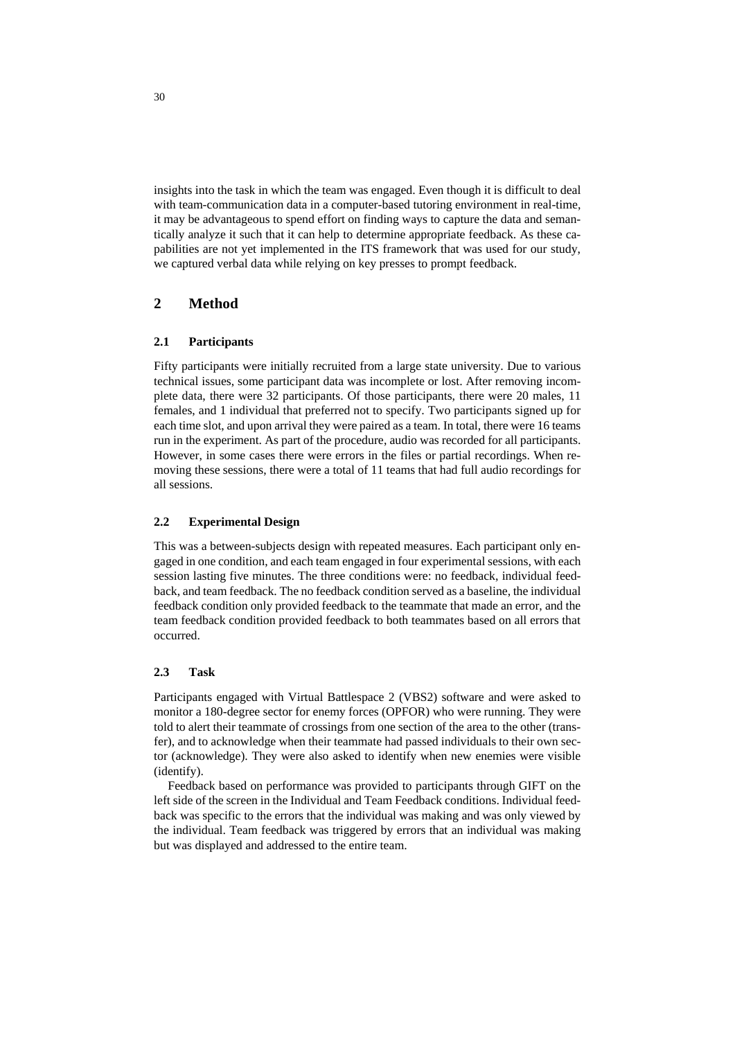insights into the task in which the team was engaged. Even though it is difficult to deal with team-communication data in a computer-based tutoring environment in real-time, it may be advantageous to spend effort on finding ways to capture the data and semantically analyze it such that it can help to determine appropriate feedback. As these capabilities are not yet implemented in the ITS framework that was used for our study, we captured verbal data while relying on key presses to prompt feedback.

# **2 Method**

#### **2.1 Participants**

Fifty participants were initially recruited from a large state university. Due to various technical issues, some participant data was incomplete or lost. After removing incomplete data, there were 32 participants. Of those participants, there were 20 males, 11 females, and 1 individual that preferred not to specify. Two participants signed up for each time slot, and upon arrival they were paired as a team. In total, there were 16 teams run in the experiment. As part of the procedure, audio was recorded for all participants. However, in some cases there were errors in the files or partial recordings. When removing these sessions, there were a total of 11 teams that had full audio recordings for all sessions.

#### **2.2 Experimental Design**

This was a between-subjects design with repeated measures. Each participant only engaged in one condition, and each team engaged in four experimental sessions, with each session lasting five minutes. The three conditions were: no feedback, individual feedback, and team feedback. The no feedback condition served as a baseline, the individual feedback condition only provided feedback to the teammate that made an error, and the team feedback condition provided feedback to both teammates based on all errors that occurred.

### **2.3 Task**

Participants engaged with Virtual Battlespace 2 (VBS2) software and were asked to monitor a 180-degree sector for enemy forces (OPFOR) who were running. They were told to alert their teammate of crossings from one section of the area to the other (transfer), and to acknowledge when their teammate had passed individuals to their own sector (acknowledge). They were also asked to identify when new enemies were visible (identify).

Feedback based on performance was provided to participants through GIFT on the left side of the screen in the Individual and Team Feedback conditions. Individual feedback was specific to the errors that the individual was making and was only viewed by the individual. Team feedback was triggered by errors that an individual was making but was displayed and addressed to the entire team.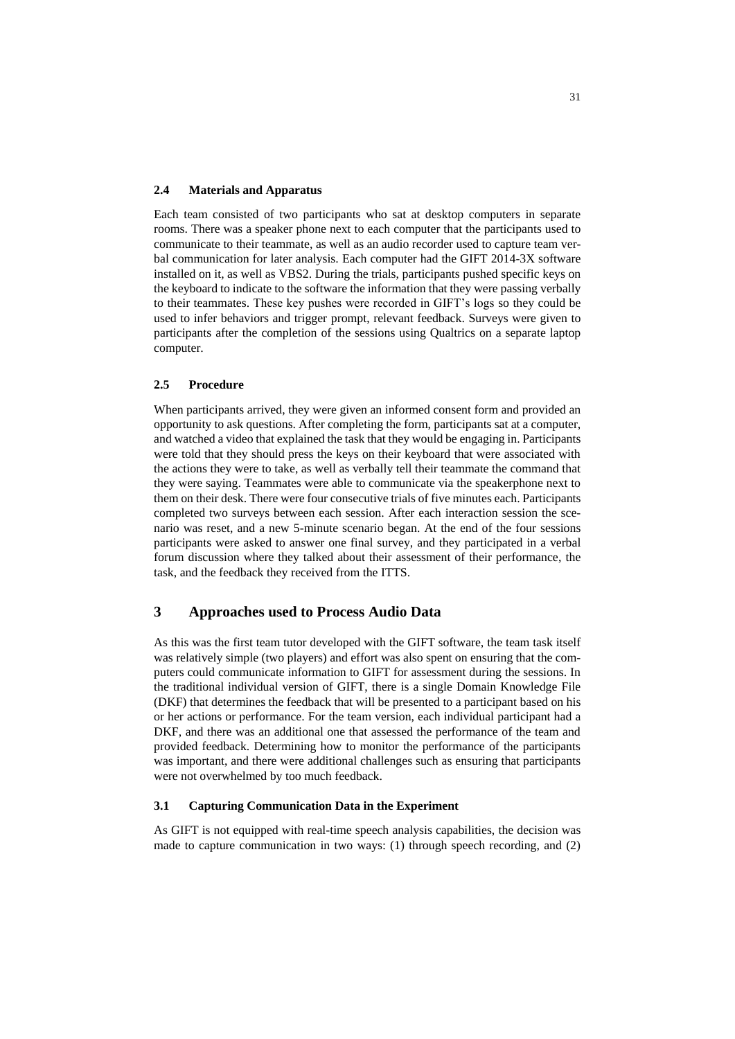#### **2.4 Materials and Apparatus**

Each team consisted of two participants who sat at desktop computers in separate rooms. There was a speaker phone next to each computer that the participants used to communicate to their teammate, as well as an audio recorder used to capture team verbal communication for later analysis. Each computer had the GIFT 2014-3X software installed on it, as well as VBS2. During the trials, participants pushed specific keys on the keyboard to indicate to the software the information that they were passing verbally to their teammates. These key pushes were recorded in GIFT's logs so they could be used to infer behaviors and trigger prompt, relevant feedback. Surveys were given to participants after the completion of the sessions using Qualtrics on a separate laptop computer.

#### **2.5 Procedure**

When participants arrived, they were given an informed consent form and provided an opportunity to ask questions. After completing the form, participants sat at a computer, and watched a video that explained the task that they would be engaging in. Participants were told that they should press the keys on their keyboard that were associated with the actions they were to take, as well as verbally tell their teammate the command that they were saying. Teammates were able to communicate via the speakerphone next to them on their desk. There were four consecutive trials of five minutes each. Participants completed two surveys between each session. After each interaction session the scenario was reset, and a new 5-minute scenario began. At the end of the four sessions participants were asked to answer one final survey, and they participated in a verbal forum discussion where they talked about their assessment of their performance, the task, and the feedback they received from the ITTS.

### **3 Approaches used to Process Audio Data**

As this was the first team tutor developed with the GIFT software, the team task itself was relatively simple (two players) and effort was also spent on ensuring that the computers could communicate information to GIFT for assessment during the sessions. In the traditional individual version of GIFT, there is a single Domain Knowledge File (DKF) that determines the feedback that will be presented to a participant based on his or her actions or performance. For the team version, each individual participant had a DKF, and there was an additional one that assessed the performance of the team and provided feedback. Determining how to monitor the performance of the participants was important, and there were additional challenges such as ensuring that participants were not overwhelmed by too much feedback.

#### **3.1 Capturing Communication Data in the Experiment**

As GIFT is not equipped with real-time speech analysis capabilities, the decision was made to capture communication in two ways: (1) through speech recording, and (2)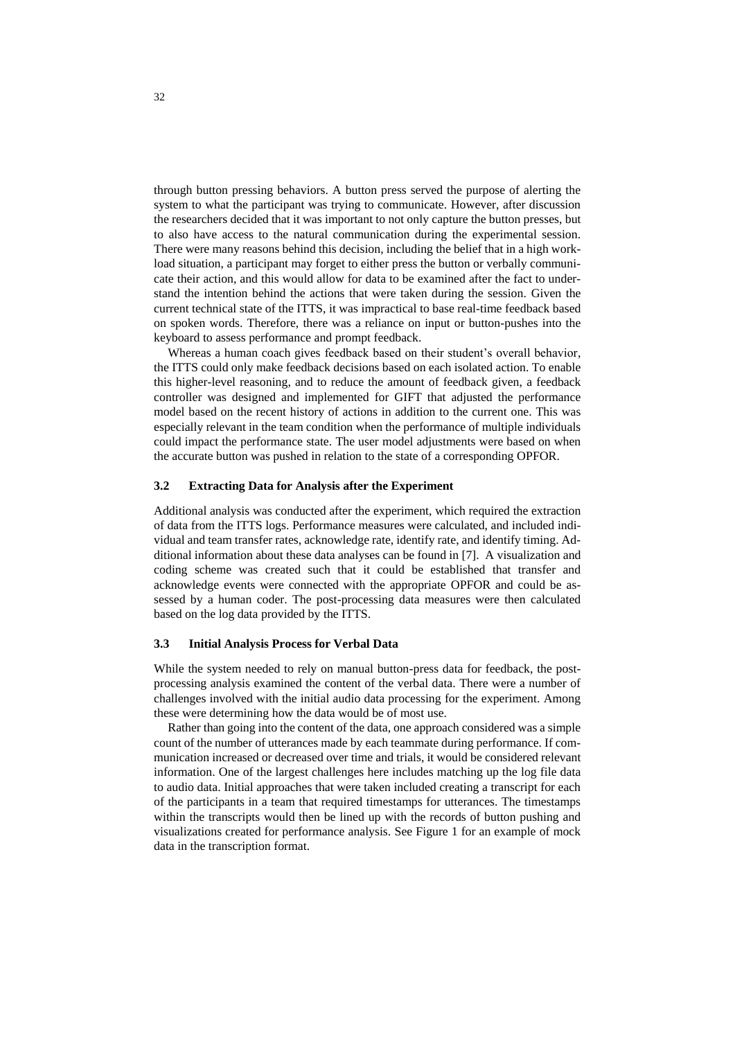through button pressing behaviors. A button press served the purpose of alerting the system to what the participant was trying to communicate. However, after discussion the researchers decided that it was important to not only capture the button presses, but to also have access to the natural communication during the experimental session. There were many reasons behind this decision, including the belief that in a high workload situation, a participant may forget to either press the button or verbally communicate their action, and this would allow for data to be examined after the fact to understand the intention behind the actions that were taken during the session. Given the current technical state of the ITTS, it was impractical to base real-time feedback based on spoken words. Therefore, there was a reliance on input or button-pushes into the keyboard to assess performance and prompt feedback.

Whereas a human coach gives feedback based on their student's overall behavior, the ITTS could only make feedback decisions based on each isolated action. To enable this higher-level reasoning, and to reduce the amount of feedback given, a feedback controller was designed and implemented for GIFT that adjusted the performance model based on the recent history of actions in addition to the current one. This was especially relevant in the team condition when the performance of multiple individuals could impact the performance state. The user model adjustments were based on when the accurate button was pushed in relation to the state of a corresponding OPFOR.

#### **3.2 Extracting Data for Analysis after the Experiment**

Additional analysis was conducted after the experiment, which required the extraction of data from the ITTS logs. Performance measures were calculated, and included individual and team transfer rates, acknowledge rate, identify rate, and identify timing. Additional information about these data analyses can be found in [7]. A visualization and coding scheme was created such that it could be established that transfer and acknowledge events were connected with the appropriate OPFOR and could be assessed by a human coder. The post-processing data measures were then calculated based on the log data provided by the ITTS.

#### **3.3 Initial Analysis Process for Verbal Data**

While the system needed to rely on manual button-press data for feedback, the postprocessing analysis examined the content of the verbal data. There were a number of challenges involved with the initial audio data processing for the experiment. Among these were determining how the data would be of most use.

Rather than going into the content of the data, one approach considered was a simple count of the number of utterances made by each teammate during performance. If communication increased or decreased over time and trials, it would be considered relevant information. One of the largest challenges here includes matching up the log file data to audio data. Initial approaches that were taken included creating a transcript for each of the participants in a team that required timestamps for utterances. The timestamps within the transcripts would then be lined up with the records of button pushing and visualizations created for performance analysis. See Figure 1 for an example of mock data in the transcription format.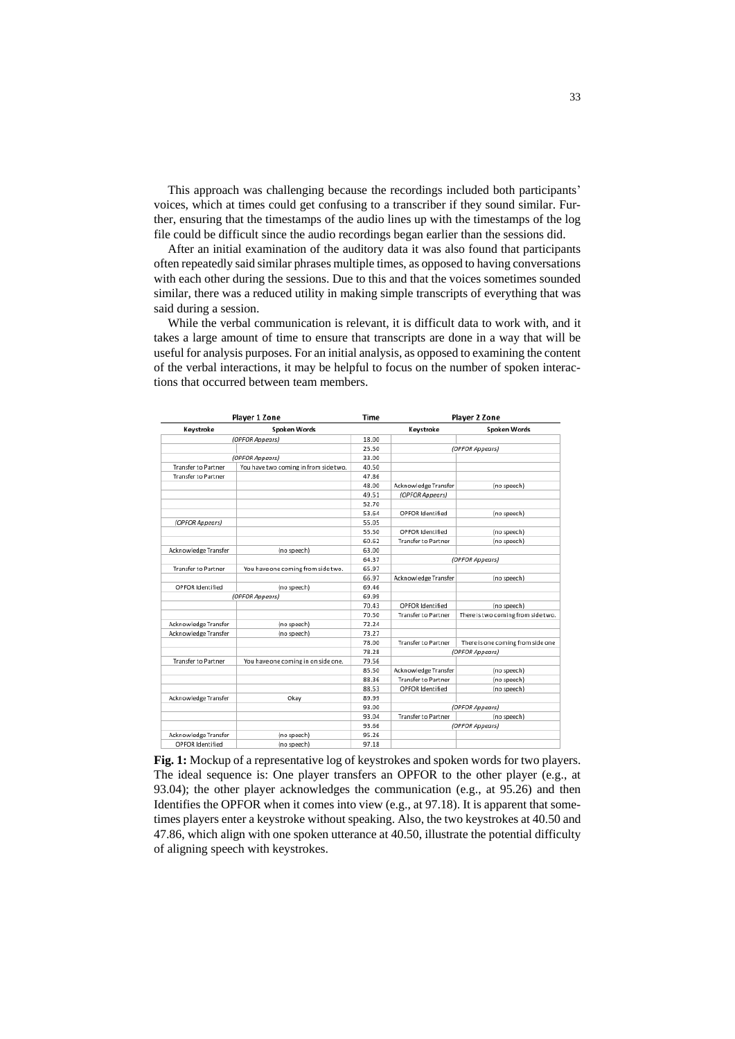This approach was challenging because the recordings included both participants' voices, which at times could get confusing to a transcriber if they sound similar. Further, ensuring that the timestamps of the audio lines up with the timestamps of the log file could be difficult since the audio recordings began earlier than the sessions did.

After an initial examination of the auditory data it was also found that participants often repeatedly said similar phrases multiple times, as opposed to having conversations with each other during the sessions. Due to this and that the voices sometimes sounded similar, there was a reduced utility in making simple transcripts of everything that was said during a session.

While the verbal communication is relevant, it is difficult data to work with, and it takes a large amount of time to ensure that transcripts are done in a way that will be useful for analysis purposes. For an initial analysis, as opposed to examining the content of the verbal interactions, it may be helpful to focus on the number of spoken interactions that occurred between team members.

| Player 1 Zone              |                                       | Time  | Player 2 Zone              |                                    |
|----------------------------|---------------------------------------|-------|----------------------------|------------------------------------|
| Keystroke                  | <b>Spoken Words</b>                   |       | Keystroke                  | <b>Spoken Words</b>                |
| (OPFOR Appears)            |                                       | 18.00 |                            |                                    |
|                            |                                       | 25.50 | (OPFOR Appears)            |                                    |
| (OPFOR Appears)            |                                       | 33.00 |                            |                                    |
| <b>Transfer to Partner</b> | You have two coming in from side two. | 40.50 |                            |                                    |
| <b>Transfer to Partner</b> |                                       | 47.86 |                            |                                    |
|                            |                                       | 48.00 | Acknowledge Transfer       | (no speech)                        |
|                            |                                       | 49.51 | (OPFOR Appears)            |                                    |
|                            |                                       | 52.70 |                            |                                    |
|                            |                                       | 53.64 | OPFOR Identified           | (no speech)                        |
| (OPFOR Appears)            |                                       | 55.05 |                            |                                    |
|                            |                                       | 55.50 | OPFOR Identified           | (no speech)                        |
|                            |                                       | 60.62 | <b>Transfer to Partner</b> | (no speech)                        |
| Acknowledge Transfer       | (no speech)                           | 63.00 |                            |                                    |
|                            |                                       | 64.37 | (OPFOR Appears)            |                                    |
| <b>Transfer to Partner</b> | You have one coming from side two.    | 65.97 |                            |                                    |
|                            |                                       | 66.97 | Acknowledge Transfer       | (no speech)                        |
| OPFOR Identified           | (no speech)                           | 69.46 |                            |                                    |
| (OPFOR Appears)            |                                       | 69.99 |                            |                                    |
|                            |                                       | 70.43 | OPFOR Identified           | (no speech)                        |
|                            |                                       | 70.50 | <b>Transfer to Partner</b> | There is two coming from side two. |
| Acknowledge Transfer       | (no speech)                           | 72.24 |                            |                                    |
| Acknowledge Transfer       | (no speech)                           | 73.27 |                            |                                    |
|                            |                                       | 78.00 | <b>Transfer to Partner</b> | There is one coming from side one  |
|                            |                                       | 78.28 | (OPFOR Appears)            |                                    |
| <b>Transfer to Partner</b> | You have one coming in on side one.   | 79.56 |                            |                                    |
|                            |                                       | 85.50 | Acknowledge Transfer       | (no speech)                        |
|                            |                                       | 88.36 | <b>Transfer to Partner</b> | (no speech)                        |
|                            |                                       | 88.53 | OPFOR Identified           | (no speech)                        |
| Acknowledge Transfer       | Okay                                  | 89.99 |                            |                                    |
|                            |                                       | 93.00 | (OPFOR Appears)            |                                    |
|                            |                                       | 93.04 | <b>Transfer to Partner</b> | (no speech)                        |
|                            |                                       | 93.66 |                            | (OPFOR Appears)                    |
| Acknowledge Transfer       | (no speech)                           | 95.26 |                            |                                    |
| OPFOR Identified           | (no speech)                           | 97.18 |                            |                                    |

**Fig. 1:** Mockup of a representative log of keystrokes and spoken words for two players. The ideal sequence is: One player transfers an OPFOR to the other player (e.g., at 93.04); the other player acknowledges the communication (e.g., at 95.26) and then Identifies the OPFOR when it comes into view (e.g., at 97.18). It is apparent that sometimes players enter a keystroke without speaking. Also, the two keystrokes at 40.50 and 47.86, which align with one spoken utterance at 40.50, illustrate the potential difficulty of aligning speech with keystrokes.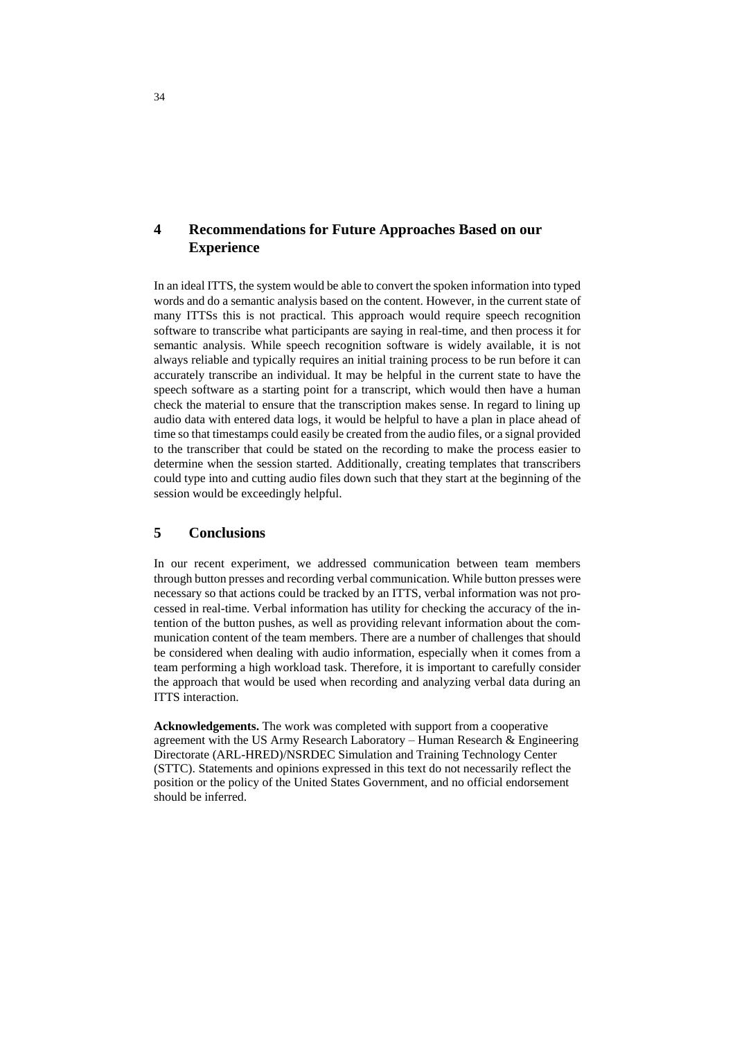# **4 Recommendations for Future Approaches Based on our Experience**

In an ideal ITTS, the system would be able to convert the spoken information into typed words and do a semantic analysis based on the content. However, in the current state of many ITTSs this is not practical. This approach would require speech recognition software to transcribe what participants are saying in real-time, and then process it for semantic analysis. While speech recognition software is widely available, it is not always reliable and typically requires an initial training process to be run before it can accurately transcribe an individual. It may be helpful in the current state to have the speech software as a starting point for a transcript, which would then have a human check the material to ensure that the transcription makes sense. In regard to lining up audio data with entered data logs, it would be helpful to have a plan in place ahead of time so that timestamps could easily be created from the audio files, or a signal provided to the transcriber that could be stated on the recording to make the process easier to determine when the session started. Additionally, creating templates that transcribers could type into and cutting audio files down such that they start at the beginning of the session would be exceedingly helpful.

## **5 Conclusions**

In our recent experiment, we addressed communication between team members through button presses and recording verbal communication. While button presses were necessary so that actions could be tracked by an ITTS, verbal information was not processed in real-time. Verbal information has utility for checking the accuracy of the intention of the button pushes, as well as providing relevant information about the communication content of the team members. There are a number of challenges that should be considered when dealing with audio information, especially when it comes from a team performing a high workload task. Therefore, it is important to carefully consider the approach that would be used when recording and analyzing verbal data during an ITTS interaction.

**Acknowledgements.** The work was completed with support from a cooperative agreement with the US Army Research Laboratory – Human Research & Engineering Directorate (ARL-HRED)/NSRDEC Simulation and Training Technology Center (STTC). Statements and opinions expressed in this text do not necessarily reflect the position or the policy of the United States Government, and no official endorsement should be inferred.